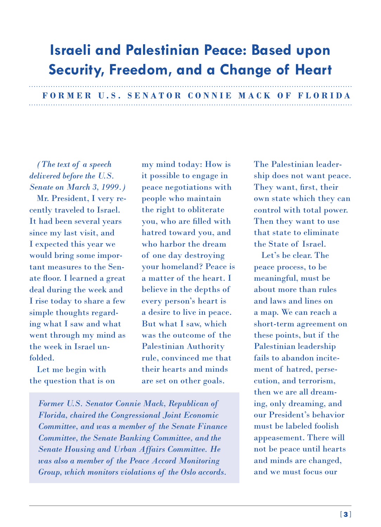## **Israeli and Palestinian Peace: Based upon Security, Freedom, and a Change of Heart**

 **FORMER U.S. SENATOR CONNIE MACK OF FLORIDA**

*(The text of a speech delivered before the U.S. Senate on March 3, 1999.)*

Mr. President, I very recently traveled to Israel. It had been several years since my last visit, and I expected this year we would bring some important measures to the Senate floor. I learned a great deal during the week and I rise today to share a few simple thoughts regarding what I saw and what went through my mind as the week in Israel unfolded.

Let me begin with the question that is on

my mind today: How is it possible to engage in peace negotiations with people who maintain the right to obliterate you, who are filled with hatred toward you, and who harbor the dream of one day destroying your homeland? Peace is a matter of the heart. I believe in the depths of every person's heart is a desire to live in peace. But what I saw, which was the outcome of the Palestinian Authority rule, convinced me that their hearts and minds are set on other goals.

*Former U.S. Senator Connie Mack, Republican of Florida, chaired the Congressional Joint Economic Committee, and was a member of the Senate Finance Committee, the Senate Banking Committee, and the Senate Housing and Urban Affairs Committee. He was also a member of the Peace Accord Monitoring Group, which monitors violations of the Oslo accords.*

The Palestinian leadership does not want peace. They want, first, their own state which they can control with total power. Then they want to use that state to eliminate the State of Israel.

Let's be clear. The peace process, to be meaningful, must be about more than rules and laws and lines on a map. We can reach a short-term agreement on these points, but if the Palestinian leadership fails to abandon incitement of hatred, persecution, and terrorism, then we are all dreaming, only dreaming, and our President's behavior must be labeled foolish appeasement. There will not be peace until hearts and minds are changed, and we must focus our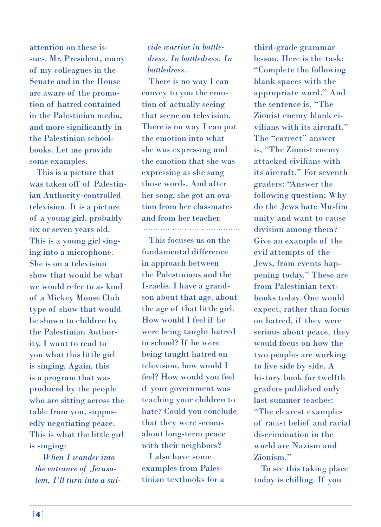attention on these issues. Mr. President, many of my colleagues in the Senate and in the House are aware of the promotion of hatred contained in the Palestinian media, and more significantly in the Palestinian schoolbooks. Let me provide some examples.

This is a picture that was taken off of Palestinian Authority-controlled television. It is a picture of a young girl, probably six or seven years old. This is a young girl singing into a microphone. She is on a television show that would be what we would refer to as kind of a Mickey Mouse Club type of show that would be shown to children by the Palestinian Authority. I want to read to you what this little girl is singing. Again, this is a program that was produced by the people who are sitting across the table from you, supposedly negotiating peace. This is what the little girl is singing:

*When I wander into the entrance of Jerusalem, I'll turn into a sui-*

## *cide warrior in battledress. In battledress. In battledress.*

There is no way I can convey to you the emotion of actually seeing that scene on television. There is no way I can put the emotion into what she was expressing and the emotion that she was expressing as she sang those words. And after her song, she got an ovation from her classmates and from her teacher. 

This focuses us on the fundamental difference in approach between the Palestinians and the Israelis. I have a grandson about that age, about the age of that little girl. How would I feel if he were being taught hatred in school? If he were being taught hatred on television, how would I feel? How would you feel if your government was teaching your children to hate? Could you conclude that they were serious about long-term peace with their neighbors? I also have some

examples from Palestinian textbooks for a

third-grade grammar lesson. Here is the task: "Complete the following blank spaces with the appropriate word." And the sentence is, "The Zionist enemy blank civilians with its aircraft." The "correct" answer is, "The Zionist enemy attacked civilians with its aircraft." For seventh graders: "Answer the following question: Why do the Jews hate Muslim unity and want to cause division among them? Give an example of the evil attempts of the Jews, from events happening today." These are from Palestinian textbooks today. One would expect, rather than focus on hatred, if they were serious about peace, they would focus on how the two peoples are working to live side by side. A history book for twelfth graders published only last summer teaches: "The clearest examples of racist belief and racial discrimination in the world are Nazism and Zionism."

To see this taking place today is chilling. If you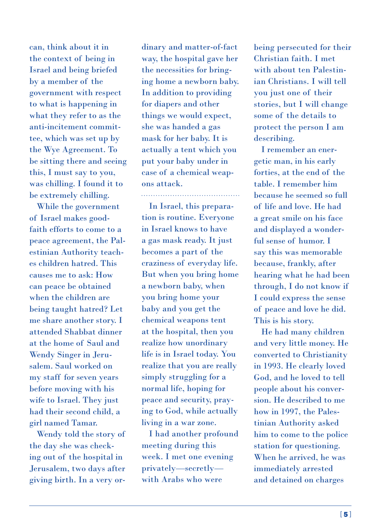can, think about it in the context of being in Israel and being briefed by a member of the government with respect to what is happening in what they refer to as the anti-incitement committee, which was set up by the Wye Agreement. To be sitting there and seeing this, I must say to you, was chilling. I found it to be extremely chilling.

While the government of Israel makes goodfaith efforts to come to a peace agreement, the Palestinian Authority teaches children hatred. This causes me to ask: How can peace be obtained when the children are being taught hatred? Let me share another story. I attended Shabbat dinner at the home of Saul and Wendy Singer in Jerusalem. Saul worked on my staff for seven years before moving with his wife to Israel. They just had their second child, a girl named Tamar.

Wendy told the story of the day she was checking out of the hospital in Jerusalem, two days after giving birth. In a very ordinary and matter-of-fact way, the hospital gave her the necessities for bringing home a newborn baby. In addition to providing for diapers and other things we would expect, she was handed a gas mask for her baby. It is actually a tent which you put your baby under in case of a chemical weapons attack.

In Israel, this preparation is routine. Everyone in Israel knows to have a gas mask ready. It just becomes a part of the craziness of everyday life. But when you bring home a newborn baby, when you bring home your baby and you get the chemical weapons tent at the hospital, then you realize how unordinary life is in Israel today. You realize that you are really simply struggling for a normal life, hoping for peace and security, praying to God, while actually living in a war zone.

I had another profound meeting during this week. I met one evening privately—secretly with Arabs who were

being persecuted for their Christian faith. I met with about ten Palestinian Christians. I will tell you just one of their stories, but I will change some of the details to protect the person I am describing.

I remember an energetic man, in his early forties, at the end of the table. I remember him because he seemed so full of life and love. He had a great smile on his face and displayed a wonderful sense of humor. I say this was memorable because, frankly, after hearing what he had been through, I do not know if I could express the sense of peace and love he did. This is his story.

He had many children and very little money. He converted to Christianity in 1993. He clearly loved God, and he loved to tell people about his conversion. He described to me how in 1997, the Palestinian Authority asked him to come to the police station for questioning. When he arrived, he was immediately arrested and detained on charges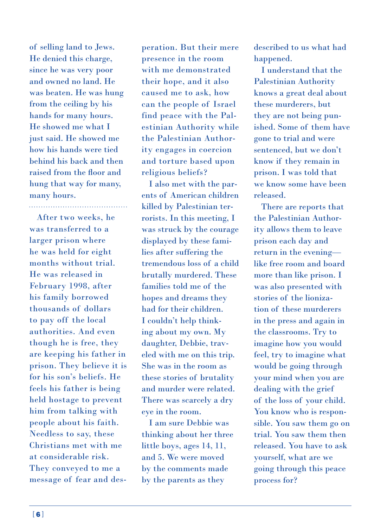of selling land to Jews. He denied this charge, since he was very poor and owned no land. He was beaten. He was hung from the ceiling by his hands for many hours. He showed me what I just said. He showed me how his hands were tied behind his back and then raised from the floor and hung that way for many, many hours.

After two weeks, he was transferred to a larger prison where he was held for eight months without trial. He was released in February 1998, after his family borrowed thousands of dollars to pay off the local authorities. And even though he is free, they are keeping his father in prison. They believe it is for his son's beliefs. He feels his father is being held hostage to prevent him from talking with people about his faith. Needless to say, these Christians met with me at considerable risk. They conveyed to me a message of fear and desperation. But their mere presence in the room with me demonstrated their hope, and it also caused me to ask, how can the people of Israel find peace with the Palestinian Authority while the Palestinian Authority engages in coercion and torture based upon religious beliefs?

I also met with the parents of American children killed by Palestinian terrorists. In this meeting, I was struck by the courage displayed by these families after suffering the tremendous loss of a child brutally murdered. These families told me of the hopes and dreams they had for their children. I couldn't help thinking about my own. My daughter, Debbie, traveled with me on this trip. She was in the room as these stories of brutality and murder were related. There was scarcely a dry eye in the room.

I am sure Debbie was thinking about her three little boys, ages 14, 11, and 5. We were moved by the comments made by the parents as they

described to us what had happened.

I understand that the Palestinian Authority knows a great deal about these murderers, but they are not being punished. Some of them have gone to trial and were sentenced, but we don't know if they remain in prison. I was told that we know some have been released.

There are reports that the Palestinian Authority allows them to leave prison each day and return in the evening like free room and board more than like prison. I was also presented with stories of the lionization of these murderers in the press and again in the classrooms. Try to imagine how you would feel, try to imagine what would be going through your mind when you are dealing with the grief of the loss of your child. You know who is responsible. You saw them go on trial. You saw them then released. You have to ask yourself, what are we going through this peace process for?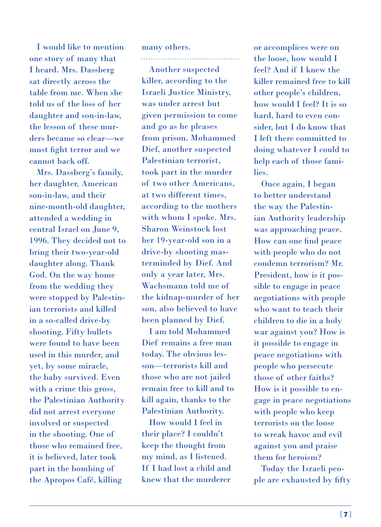I would like to mention one story of many that I heard. Mrs. Dassberg sat directly across the table from me. When she told us of the loss of her daughter and son-in-law, the lesson of these murders became so clear—we must fight terror and we cannot back off.

Mrs. Dassberg's family, her daughter, American son-in-law, and their nine-month-old daughter, attended a wedding in central Israel on June 9, 1996. They decided not to bring their two-year-old daughter along. Thank God. On the way home from the wedding they were stopped by Palestinian terrorists and killed in a so-called drive-by shooting. Fifty bullets were found to have been used in this murder, and yet, by some miracle, the baby survived. Even with a crime this gross, the Palestinian Authority did not arrest everyone involved or suspected in the shooting. One of those who remained free, it is believed, later took part in the bombing of the Apropos Café, killing

many others.

Another suspected killer, according to the Israeli Justice Ministry, was under arrest but given permission to come and go as he pleases from prison. Mohammed Dief, another suspected Palestinian terrorist, took part in the murder of two other Americans, at two different times, according to the mothers with whom I spoke. Mrs. Sharon Weinstock lost her 19-year-old son in a drive-by shooting masterminded by Dief. And only a year later, Mrs. Wachsmann told me of the kidnap-murder of her son, also believed to have been planned by Dief.

I am told Mohammed Dief remains a free man today. The obvious lesson—terrorists kill and those who are not jailed remain free to kill and to kill again, thanks to the Palestinian Authority.

How would I feel in their place? I couldn't keep the thought from my mind, as I listened. If I had lost a child and knew that the murderer

or accomplices were on the loose, how would I feel? And if I knew the killer remained free to kill other people's children, how would I feel? It is so hard, hard to even consider, but I do know that I left there committed to doing whatever I could to help each of those families.

Once again, I began to better understand the way the Palestinian Authority leadership was approaching peace. How can one find peace with people who do not condemn terrorism? Mr. President, how is it possible to engage in peace negotiations with people who want to teach their children to die in a holy war against you? How is it possible to engage in peace negotiations with people who persecute those of other faiths? How is it possible to engage in peace negotiations with people who keep terrorists on the loose to wreak havoc and evil against you and praise them for heroism?

Today the Israeli people are exhausted by fifty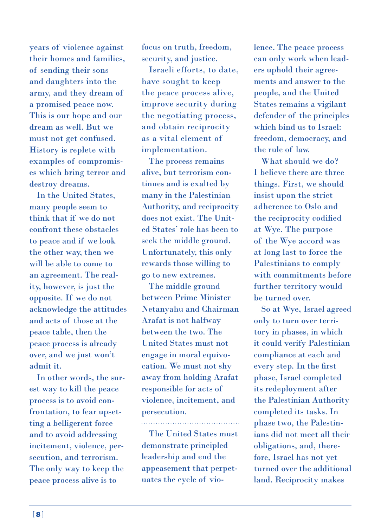years of violence against their homes and families, of sending their sons and daughters into the army, and they dream of a promised peace now. This is our hope and our dream as well. But we must not get confused. History is replete with examples of compromises which bring terror and destroy dreams.

In the United States, many people seem to think that if we do not confront these obstacles to peace and if we look the other way, then we will be able to come to an agreement. The reality, however, is just the opposite. If we do not acknowledge the attitudes and acts of those at the peace table, then the peace process is already over, and we just won't admit it.

In other words, the surest way to kill the peace process is to avoid confrontation, to fear upsetting a belligerent force and to avoid addressing incitement, violence, persecution, and terrorism. The only way to keep the peace process alive is to

focus on truth, freedom, security, and justice.

Israeli efforts, to date, have sought to keep the peace process alive, improve security during the negotiating process, and obtain reciprocity as a vital element of implementation.

The process remains alive, but terrorism continues and is exalted by many in the Palestinian Authority, and reciprocity does not exist. The United States' role has been to seek the middle ground. Unfortunately, this only rewards those willing to go to new extremes.

The middle ground between Prime Minister Netanyahu and Chairman Arafat is not halfway between the two. The United States must not engage in moral equivocation. We must not shy away from holding Arafat responsible for acts of violence, incitement, and persecution.

The United States must demonstrate principled leadership and end the appeasement that perpetuates the cycle of vio-

lence. The peace process can only work when leaders uphold their agreements and answer to the people, and the United States remains a vigilant defender of the principles which bind us to Israel: freedom, democracy, and the rule of law.

What should we do? I believe there are three things. First, we should insist upon the strict adherence to Oslo and the reciprocity codified at Wye. The purpose of the Wye accord was at long last to force the Palestinians to comply with commitments before further territory would be turned over.

So at Wye, Israel agreed only to turn over territory in phases, in which it could verify Palestinian compliance at each and every step. In the first phase, Israel completed its redeployment after the Palestinian Authority completed its tasks. In phase two, the Palestinians did not meet all their obligations, and, therefore, Israel has not yet turned over the additional land. Reciprocity makes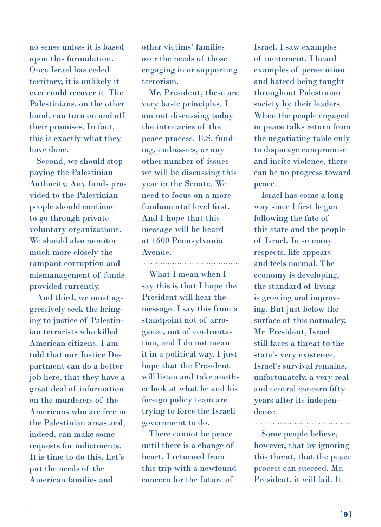no sense unless it is based upon this formulation. Once Israel has ceded territory, it is unlikely it ever could recover it. The Palestinians, on the other hand, can turn on and off their promises. In fact, this is exactly what they have done.

Second, we should stop paying the Palestinian Authority. Any funds provided to the Palestinian people should continue to go through private voluntary organizations. We should also monitor much more closely the rampant corruption and mismanagement of funds provided currently.

And third, we must aggressively seek the bringing to justice of Palestinian terrorists who killed American citizens. I am told that our Justice Department can do a better job here, that they have a great deal of information on the murderers of the Americans who are free in the Palestinian areas and, indeed, can make some requests for indictments. It is time to do this. Let's put the needs of the American families and

other victims' families over the needs of those engaging in or supporting terrorism.

Mr. President, these are very basic principles. I am not discussing today the intricacies of the peace process, U.S. funding, embassies, or any other number of issues we will be discussing this year in the Senate. We need to focus on a more fundamental level first. And I hope that this message will be heard at 1600 Pennsylvania Avenue.

What I mean when I say this is that I hope the President will hear the message. I say this from a standpoint not of arrogance, not of confrontation, and I do not mean it in a political way. I just hope that the President will listen and take another look at what he and his foreign policy team are trying to force the Israeli government to do.

There cannot be peace until there is a change of heart. I returned from this trip with a newfound concern for the future of

Israel. I saw examples of incitement. I heard examples of persecution and hatred being taught throughout Palestinian society by their leaders. When the people engaged in peace talks return from the negotiating table only to disparage compromise and incite violence, there can be no progress toward peace.

Israel has come a long way since I first began following the fate of this state and the people of Israel. In so many respects, life appears and feels normal. The economy is developing, the standard of living is growing and improving. But just below the surface of this normalcy, Mr. President, Israel still faces a threat to the state's very existence. Israel's survival remains, unfortunately, a very real and central concern fifty years after its independence.

Some people believe, however, that by ignoring this threat, that the peace process can succeed. Mr. President, it will fail. It